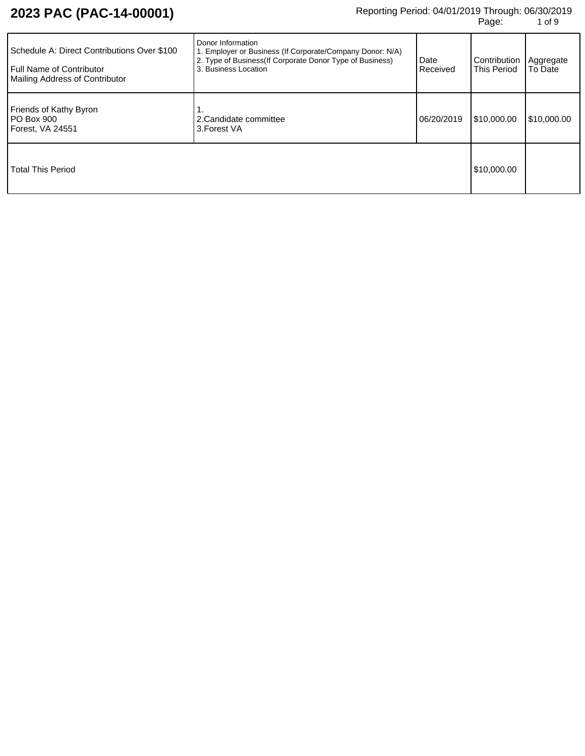# **2023 PAC (PAC-14-00001)** Reporting Period: 04/01/2019 Through: 06/30/2019 **Pedicity**<br>Page: 1 of 9

| Schedule A: Direct Contributions Over \$100<br><b>Full Name of Contributor</b><br><b>Mailing Address of Contributor</b> | Donor Information<br>. Employer or Business (If Corporate/Company Donor: N/A)<br>2. Type of Business(If Corporate Donor Type of Business)<br>3. Business Location | Date<br>Received | Contribution<br><b>This Period</b> | Aggregate<br>To Date |
|-------------------------------------------------------------------------------------------------------------------------|-------------------------------------------------------------------------------------------------------------------------------------------------------------------|------------------|------------------------------------|----------------------|
| Friends of Kathy Byron<br>PO Box 900<br>Forest, VA 24551                                                                | 2. Candidate committee<br>3. Forest VA                                                                                                                            | 06/20/2019       | \$10,000,00                        | \$10,000.00          |
| <b>Total This Period</b>                                                                                                |                                                                                                                                                                   |                  | \$10,000.00                        |                      |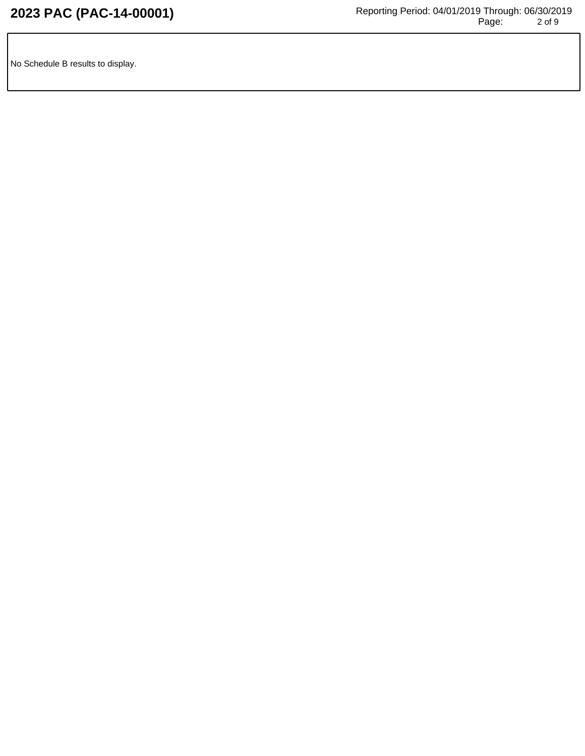No Schedule B results to display.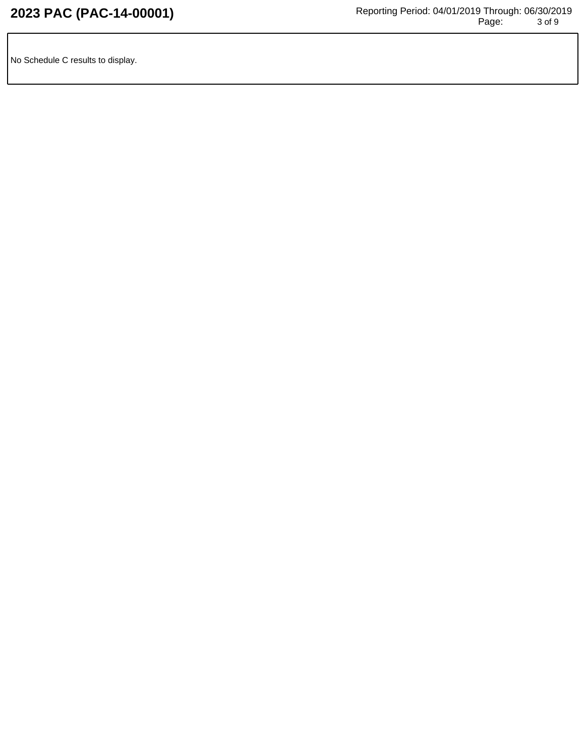No Schedule C results to display.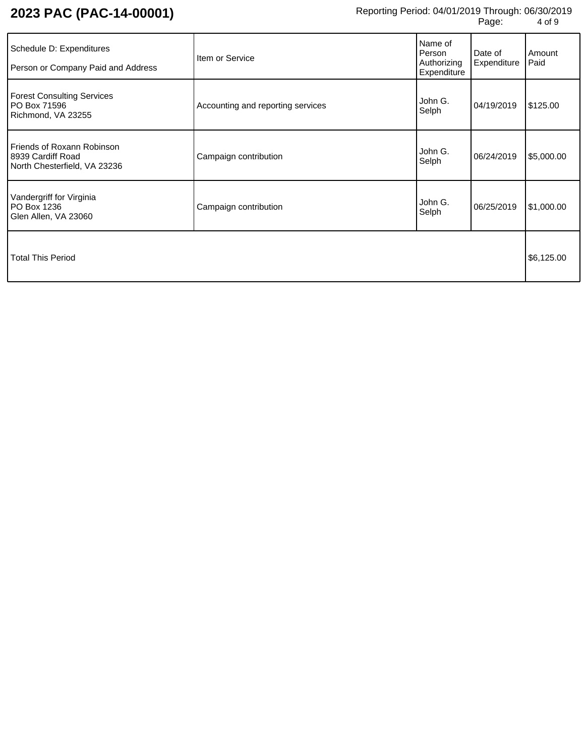| Schedule D: Expenditures<br>Person or Company Paid and Address                         | Item or Service                   | Name of<br>Person<br>Authorizing<br>Expenditure | Date of<br>Expenditure | Amount<br>Paid |
|----------------------------------------------------------------------------------------|-----------------------------------|-------------------------------------------------|------------------------|----------------|
| <b>Forest Consulting Services</b><br>PO Box 71596<br>Richmond, VA 23255                | Accounting and reporting services | John G.<br>Selph                                | 04/19/2019             | \$125.00       |
| <b>Friends of Roxann Robinson</b><br>8939 Cardiff Road<br>North Chesterfield, VA 23236 | Campaign contribution             | John G.<br>Selph                                | 06/24/2019             | \$5,000.00     |
| Vandergriff for Virginia<br>PO Box 1236<br>Glen Allen, VA 23060                        | Campaign contribution             | John G.<br>Selph                                | 06/25/2019             | \$1,000.00     |
| <b>Total This Period</b>                                                               |                                   |                                                 |                        | \$6,125.00     |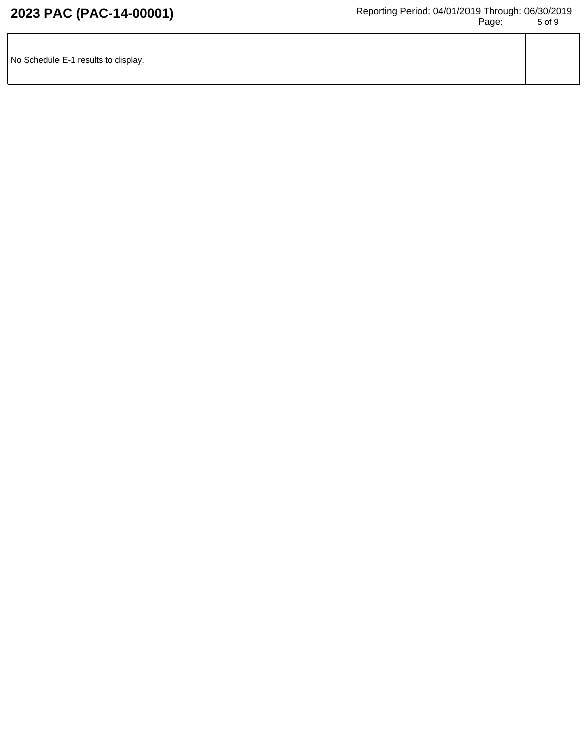| No Schedule E-1 results to display. |  |
|-------------------------------------|--|
|                                     |  |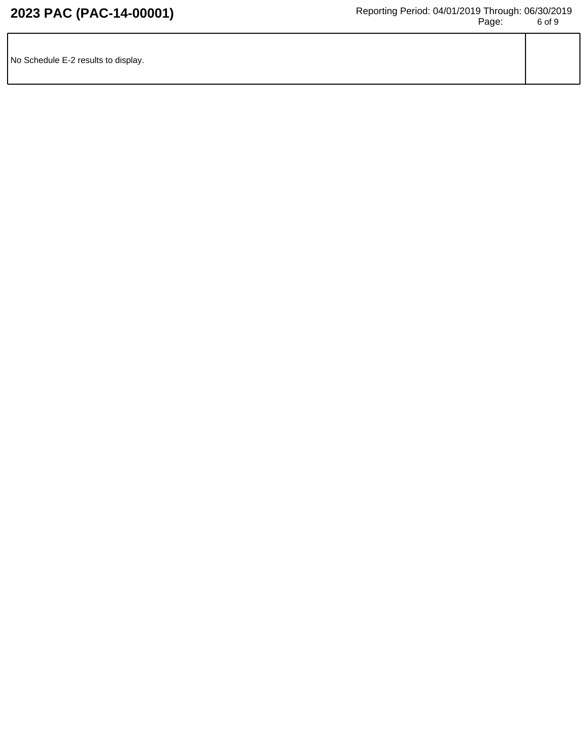| No Schedule E-2 results to display. |  |
|-------------------------------------|--|
|                                     |  |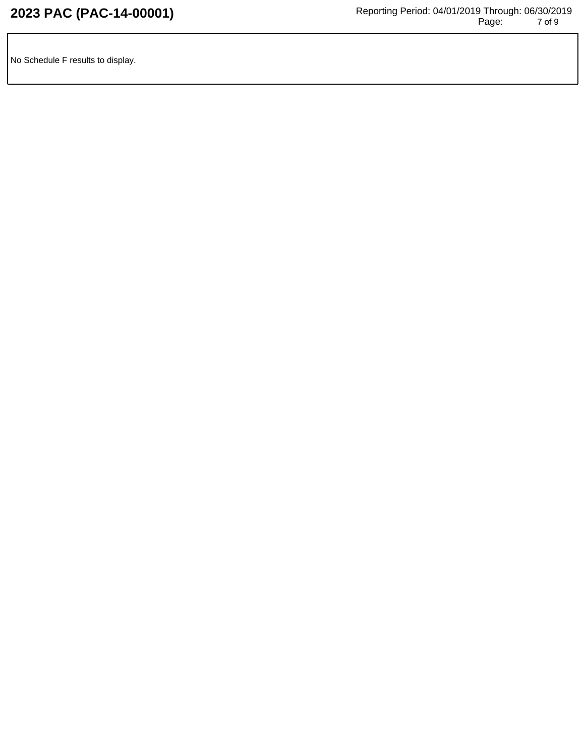No Schedule F results to display.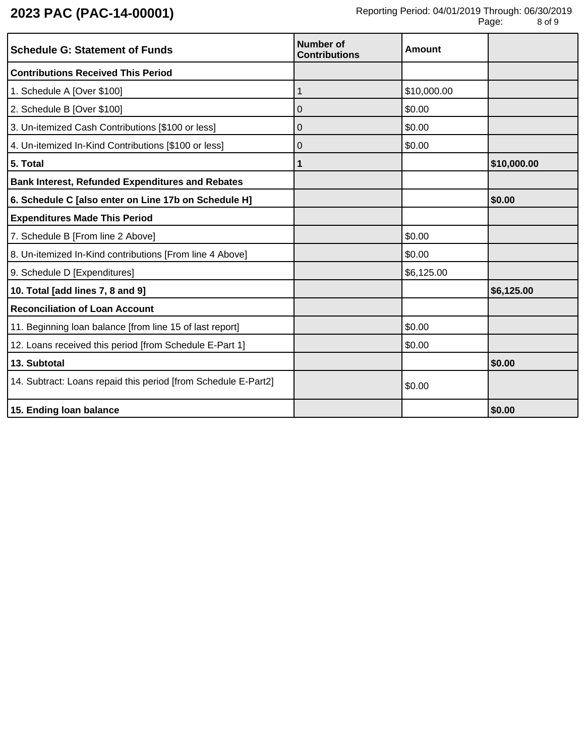| <b>Schedule G: Statement of Funds</b>                          | <b>Number of</b><br><b>Contributions</b> | Amount      |             |
|----------------------------------------------------------------|------------------------------------------|-------------|-------------|
| <b>Contributions Received This Period</b>                      |                                          |             |             |
| 1. Schedule A [Over \$100]                                     | 1                                        | \$10,000.00 |             |
| 2. Schedule B [Over \$100]                                     | 0                                        | \$0.00      |             |
| 3. Un-itemized Cash Contributions [\$100 or less]              | 0                                        | \$0.00      |             |
| 4. Un-itemized In-Kind Contributions [\$100 or less]           | 0                                        | \$0.00      |             |
| 5. Total                                                       | 1                                        |             | \$10,000.00 |
| <b>Bank Interest, Refunded Expenditures and Rebates</b>        |                                          |             |             |
| 6. Schedule C [also enter on Line 17b on Schedule H]           |                                          |             | \$0.00      |
| <b>Expenditures Made This Period</b>                           |                                          |             |             |
| 7. Schedule B [From line 2 Above]                              |                                          | \$0.00      |             |
| 8. Un-itemized In-Kind contributions [From line 4 Above]       |                                          | \$0.00      |             |
| 9. Schedule D [Expenditures]                                   |                                          | \$6,125.00  |             |
| 10. Total [add lines 7, 8 and 9]                               |                                          |             | \$6,125.00  |
| <b>Reconciliation of Loan Account</b>                          |                                          |             |             |
| 11. Beginning loan balance [from line 15 of last report]       |                                          | \$0.00      |             |
| 12. Loans received this period [from Schedule E-Part 1]        |                                          | \$0.00      |             |
| 13. Subtotal                                                   |                                          |             | \$0.00      |
| 14. Subtract: Loans repaid this period [from Schedule E-Part2] |                                          | \$0.00      |             |
| 15. Ending loan balance                                        |                                          |             | \$0.00      |